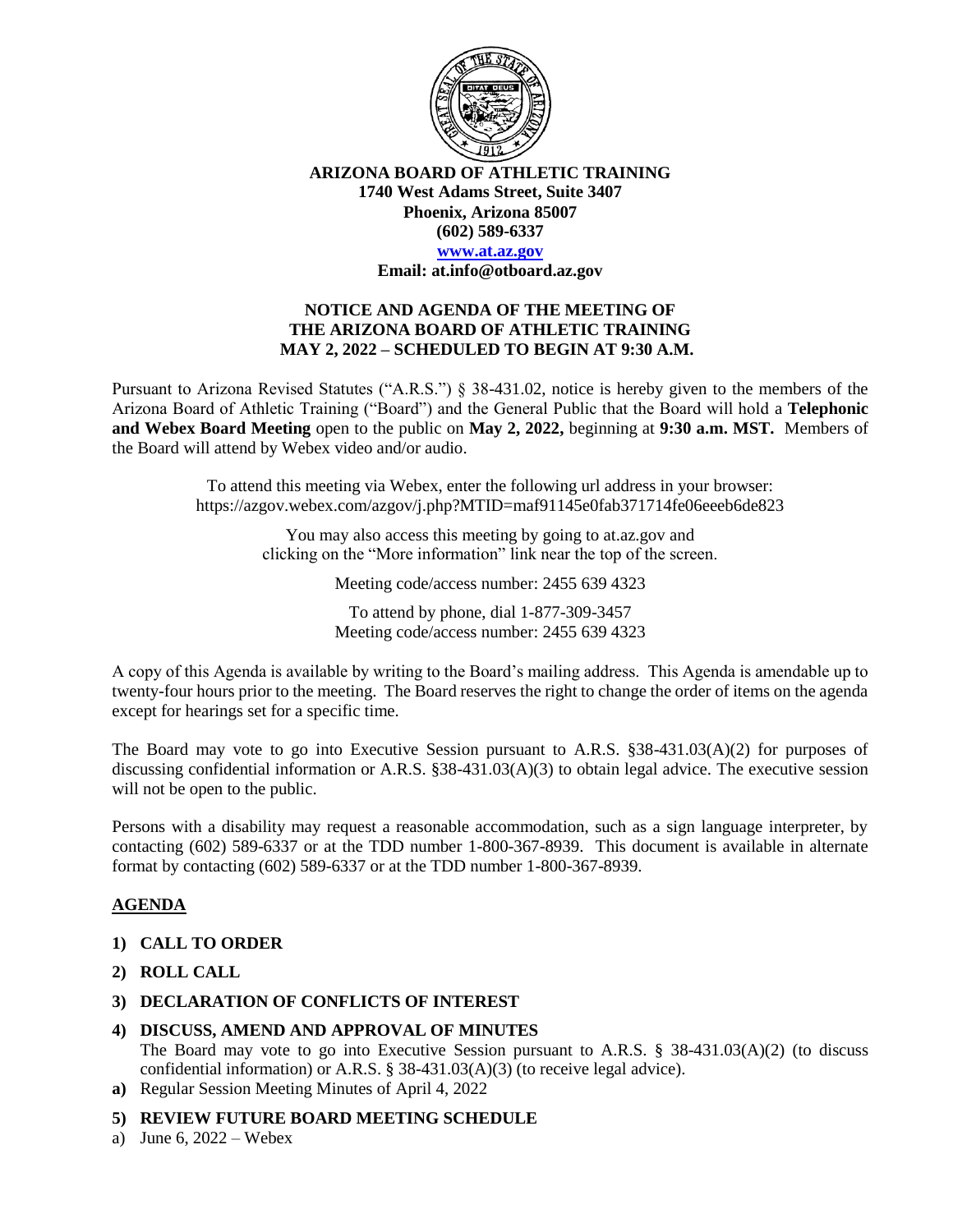

**ARIZONA BOARD OF ATHLETIC TRAINING 1740 West Adams Street, Suite 3407 Phoenix, Arizona 85007 (602) 589-6337**

#### **[www.at.az.gov](https://www.at.az.gov/)**

**Email: at.info@otboard.az.gov**

### **NOTICE AND AGENDA OF THE MEETING OF THE ARIZONA BOARD OF ATHLETIC TRAINING MAY 2, 2022 – SCHEDULED TO BEGIN AT 9:30 A.M.**

Pursuant to Arizona Revised Statutes ("A.R.S.") § 38-431.02, notice is hereby given to the members of the Arizona Board of Athletic Training ("Board") and the General Public that the Board will hold a **Telephonic and Webex Board Meeting** open to the public on **May 2, 2022,** beginning at **9:30 a.m. MST.** Members of the Board will attend by Webex video and/or audio.

> To attend this meeting via Webex, enter the following url address in your browser: https://azgov.webex.com/azgov/j.php?MTID=maf91145e0fab371714fe06eeeb6de823

> > You may also access this meeting by going to at.az.gov and clicking on the "More information" link near the top of the screen.

> > > Meeting code/access number: 2455 639 4323

To attend by phone, dial 1-877-309-3457 Meeting code/access number: 2455 639 4323

A copy of this Agenda is available by writing to the Board's mailing address. This Agenda is amendable up to twenty-four hours prior to the meeting. The Board reserves the right to change the order of items on the agenda except for hearings set for a specific time.

The Board may vote to go into Executive Session pursuant to A.R.S. §38-431.03(A)(2) for purposes of discussing confidential information or A.R.S. §38-431.03(A)(3) to obtain legal advice. The executive session will not be open to the public.

Persons with a disability may request a reasonable accommodation, such as a sign language interpreter, by contacting (602) 589-6337 or at the TDD number 1-800-367-8939. This document is available in alternate format by contacting (602) 589-6337 or at the TDD number 1-800-367-8939.

# **AGENDA**

### **1) CALL TO ORDER**

- **2) ROLL CALL**
- **3) DECLARATION OF CONFLICTS OF INTEREST**
- **4) DISCUSS, AMEND AND APPROVAL OF MINUTES**

The Board may vote to go into Executive Session pursuant to A.R.S. § 38-431.03(A)(2) (to discuss confidential information) or A.R.S.  $\S$  38-431.03(A)(3) (to receive legal advice).

**a)** Regular Session Meeting Minutes of April 4, 2022

### **5) REVIEW FUTURE BOARD MEETING SCHEDULE**

a) June 6,  $2022 - \text{Webex}$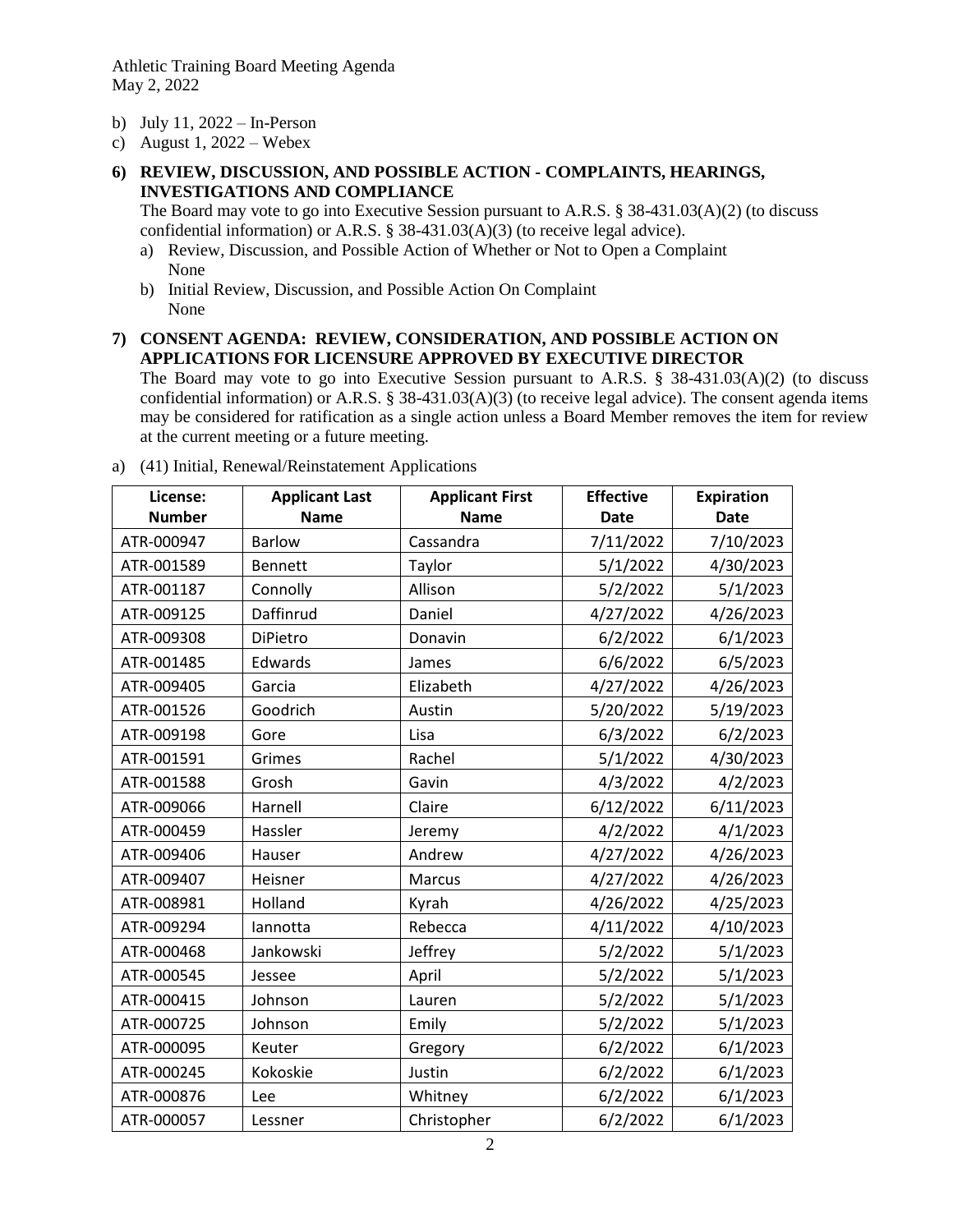Athletic Training Board Meeting Agenda May 2, 2022

- b) July 11, 2022 In-Person
- c) August 1,  $2022 -$  Webex
- **6) REVIEW, DISCUSSION, AND POSSIBLE ACTION - COMPLAINTS, HEARINGS, INVESTIGATIONS AND COMPLIANCE**

The Board may vote to go into Executive Session pursuant to A.R.S. § 38-431.03(A)(2) (to discuss confidential information) or A.R.S. § 38-431.03(A)(3) (to receive legal advice).

- a) Review, Discussion, and Possible Action of Whether or Not to Open a Complaint None
- b) Initial Review, Discussion, and Possible Action On Complaint None
- **7) CONSENT AGENDA: REVIEW, CONSIDERATION, AND POSSIBLE ACTION ON APPLICATIONS FOR LICENSURE APPROVED BY EXECUTIVE DIRECTOR**

The Board may vote to go into Executive Session pursuant to A.R.S. § 38-431.03(A)(2) (to discuss confidential information) or A.R.S. § 38-431.03(A)(3) (to receive legal advice). The consent agenda items may be considered for ratification as a single action unless a Board Member removes the item for review at the current meeting or a future meeting.

| License:      | <b>Applicant Last</b> | <b>Applicant First</b> | <b>Effective</b> | <b>Expiration</b> |
|---------------|-----------------------|------------------------|------------------|-------------------|
| <b>Number</b> | <b>Name</b>           | <b>Name</b>            | <b>Date</b>      | <b>Date</b>       |
| ATR-000947    | <b>Barlow</b>         | Cassandra              | 7/11/2022        | 7/10/2023         |
| ATR-001589    | <b>Bennett</b>        | Taylor                 | 5/1/2022         | 4/30/2023         |
| ATR-001187    | Connolly              | Allison                | 5/2/2022         | 5/1/2023          |
| ATR-009125    | Daffinrud             | Daniel                 | 4/27/2022        | 4/26/2023         |
| ATR-009308    | DiPietro              | Donavin                | 6/2/2022         | 6/1/2023          |
| ATR-001485    | Edwards               | James                  | 6/6/2022         | 6/5/2023          |
| ATR-009405    | Garcia                | Elizabeth              | 4/27/2022        | 4/26/2023         |
| ATR-001526    | Goodrich              | Austin                 | 5/20/2022        | 5/19/2023         |
| ATR-009198    | Gore                  | Lisa                   | 6/3/2022         | 6/2/2023          |
| ATR-001591    | Grimes                | Rachel                 | 5/1/2022         | 4/30/2023         |
| ATR-001588    | Grosh                 | Gavin                  | 4/3/2022         | 4/2/2023          |
| ATR-009066    | Harnell               | Claire                 | 6/12/2022        | 6/11/2023         |
| ATR-000459    | Hassler               | Jeremy                 | 4/2/2022         | 4/1/2023          |
| ATR-009406    | Hauser                | Andrew                 | 4/27/2022        | 4/26/2023         |
| ATR-009407    | Heisner               | Marcus                 | 4/27/2022        | 4/26/2023         |
| ATR-008981    | Holland               | Kyrah                  | 4/26/2022        | 4/25/2023         |
| ATR-009294    | lannotta              | Rebecca                | 4/11/2022        | 4/10/2023         |
| ATR-000468    | Jankowski             | Jeffrey                | 5/2/2022         | 5/1/2023          |
| ATR-000545    | Jessee                | April                  | 5/2/2022         | 5/1/2023          |
| ATR-000415    | Johnson               | Lauren                 | 5/2/2022         | 5/1/2023          |
| ATR-000725    | Johnson               | Emily                  | 5/2/2022         | 5/1/2023          |
| ATR-000095    | Keuter                | Gregory                | 6/2/2022         | 6/1/2023          |
| ATR-000245    | Kokoskie              | Justin                 | 6/2/2022         | 6/1/2023          |
| ATR-000876    | Lee                   | Whitney                | 6/2/2022         | 6/1/2023          |
| ATR-000057    | Lessner               | Christopher            | 6/2/2022         | 6/1/2023          |

a) (41) Initial, Renewal/Reinstatement Applications